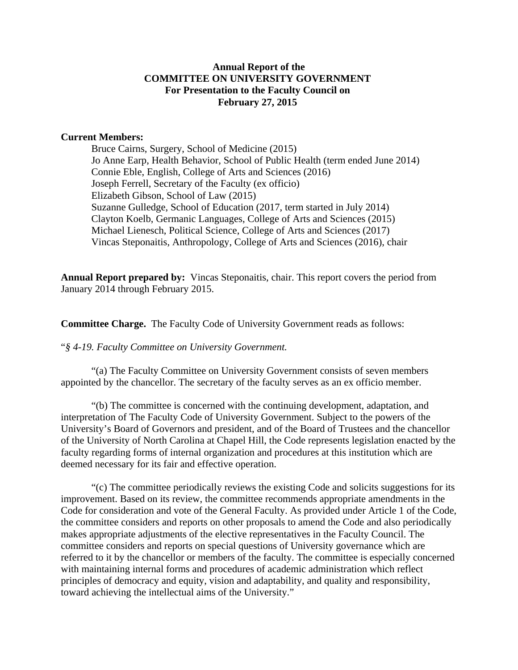# **Annual Report of the COMMITTEE ON UNIVERSITY GOVERNMENT For Presentation to the Faculty Council on February 27, 2015**

#### **Current Members:**

Bruce Cairns, Surgery, School of Medicine (2015) Jo Anne Earp, Health Behavior, School of Public Health (term ended June 2014) Connie Eble, English, College of Arts and Sciences (2016) Joseph Ferrell, Secretary of the Faculty (ex officio) Elizabeth Gibson, School of Law (2015) Suzanne Gulledge, School of Education (2017, term started in July 2014) Clayton Koelb, Germanic Languages, College of Arts and Sciences (2015) Michael Lienesch, Political Science, College of Arts and Sciences (2017) Vincas Steponaitis, Anthropology, College of Arts and Sciences (2016), chair

**Annual Report prepared by:** Vincas Steponaitis, chair. This report covers the period from January 2014 through February 2015.

**Committee Charge.** The Faculty Code of University Government reads as follows:

"*§ 4-19. Faculty Committee on University Government.* 

"(a) The Faculty Committee on University Government consists of seven members appointed by the chancellor. The secretary of the faculty serves as an ex officio member.

"(b) The committee is concerned with the continuing development, adaptation, and interpretation of The Faculty Code of University Government. Subject to the powers of the University's Board of Governors and president, and of the Board of Trustees and the chancellor of the University of North Carolina at Chapel Hill, the Code represents legislation enacted by the faculty regarding forms of internal organization and procedures at this institution which are deemed necessary for its fair and effective operation.

 "(c) The committee periodically reviews the existing Code and solicits suggestions for its improvement. Based on its review, the committee recommends appropriate amendments in the Code for consideration and vote of the General Faculty. As provided under Article 1 of the Code, the committee considers and reports on other proposals to amend the Code and also periodically makes appropriate adjustments of the elective representatives in the Faculty Council. The committee considers and reports on special questions of University governance which are referred to it by the chancellor or members of the faculty. The committee is especially concerned with maintaining internal forms and procedures of academic administration which reflect principles of democracy and equity, vision and adaptability, and quality and responsibility, toward achieving the intellectual aims of the University."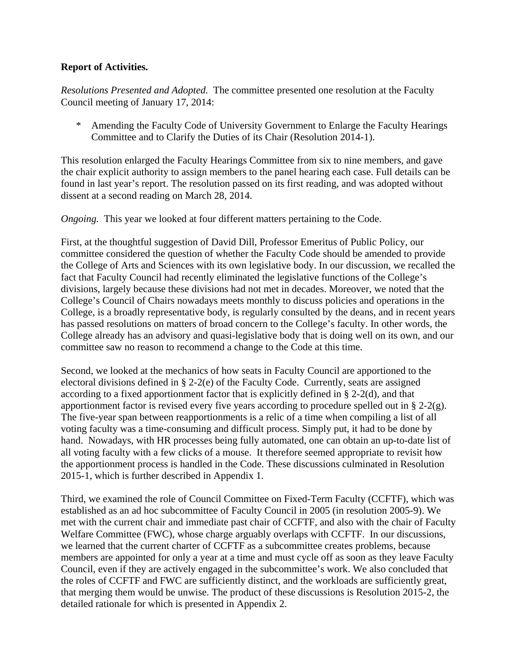# **Report of Activities.**

*Resolutions Presented and Adopted.* The committee presented one resolution at the Faculty Council meeting of January 17, 2014:

Amending the Faculty Code of University Government to Enlarge the Faculty Hearings Committee and to Clarify the Duties of its Chair (Resolution 2014-1).

This resolution enlarged the Faculty Hearings Committee from six to nine members, and gave the chair explicit authority to assign members to the panel hearing each case. Full details can be found in last year's report. The resolution passed on its first reading, and was adopted without dissent at a second reading on March 28, 2014.

*Ongoing.* This year we looked at four different matters pertaining to the Code.

First, at the thoughtful suggestion of David Dill, Professor Emeritus of Public Policy, our committee considered the question of whether the Faculty Code should be amended to provide the College of Arts and Sciences with its own legislative body. In our discussion, we recalled the fact that Faculty Council had recently eliminated the legislative functions of the College's divisions, largely because these divisions had not met in decades. Moreover, we noted that the College's Council of Chairs nowadays meets monthly to discuss policies and operations in the College, is a broadly representative body, is regularly consulted by the deans, and in recent years has passed resolutions on matters of broad concern to the College's faculty. In other words, the College already has an advisory and quasi-legislative body that is doing well on its own, and our committee saw no reason to recommend a change to the Code at this time.

Second, we looked at the mechanics of how seats in Faculty Council are apportioned to the electoral divisions defined in § 2-2(e) of the Faculty Code. Currently, seats are assigned according to a fixed apportionment factor that is explicitly defined in § 2-2(d), and that apportionment factor is revised every five years according to procedure spelled out in § 2-2(g). The five-year span between reapportionments is a relic of a time when compiling a list of all voting faculty was a time-consuming and difficult process. Simply put, it had to be done by hand. Nowadays, with HR processes being fully automated, one can obtain an up-to-date list of all voting faculty with a few clicks of a mouse. It therefore seemed appropriate to revisit how the apportionment process is handled in the Code. These discussions culminated in Resolution 2015-1, which is further described in Appendix 1.

Third, we examined the role of Council Committee on Fixed-Term Faculty (CCFTF), which was established as an ad hoc subcommittee of Faculty Council in 2005 (in resolution 2005-9). We met with the current chair and immediate past chair of CCFTF, and also with the chair of Faculty Welfare Committee (FWC), whose charge arguably overlaps with CCFTF. In our discussions, we learned that the current charter of CCFTF as a subcommittee creates problems, because members are appointed for only a year at a time and must cycle off as soon as they leave Faculty Council, even if they are actively engaged in the subcommittee's work. We also concluded that the roles of CCFTF and FWC are sufficiently distinct, and the workloads are sufficiently great, that merging them would be unwise. The product of these discussions is Resolution 2015-2, the detailed rationale for which is presented in Appendix 2.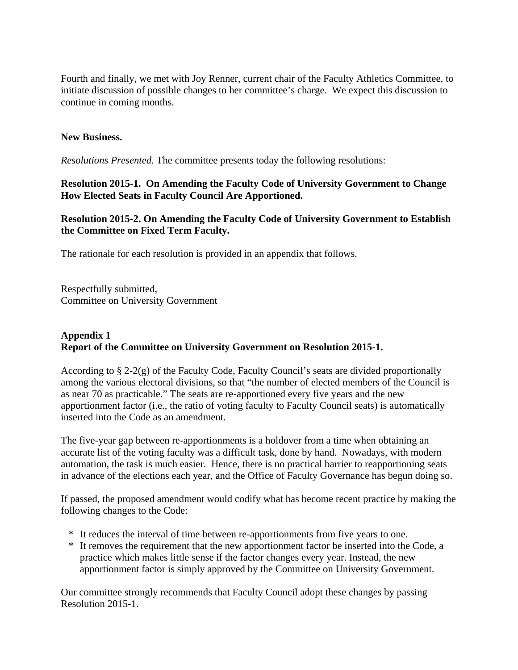Fourth and finally, we met with Joy Renner, current chair of the Faculty Athletics Committee, to initiate discussion of possible changes to her committee's charge. We expect this discussion to continue in coming months.

### **New Business.**

*Resolutions Presented.* The committee presents today the following resolutions:

**Resolution 2015-1. On Amending the Faculty Code of University Government to Change How Elected Seats in Faculty Council Are Apportioned.**

**Resolution 2015-2. On Amending the Faculty Code of University Government to Establish the Committee on Fixed Term Faculty.**

The rationale for each resolution is provided in an appendix that follows.

Respectfully submitted, Committee on University Government

# **Appendix 1 Report of the Committee on University Government on Resolution 2015-1.**

According to  $\S 2-2(g)$  of the Faculty Code, Faculty Council's seats are divided proportionally among the various electoral divisions, so that "the number of elected members of the Council is as near 70 as practicable." The seats are re-apportioned every five years and the new apportionment factor (i.e., the ratio of voting faculty to Faculty Council seats) is automatically inserted into the Code as an amendment.

The five-year gap between re-apportionments is a holdover from a time when obtaining an accurate list of the voting faculty was a difficult task, done by hand. Nowadays, with modern automation, the task is much easier. Hence, there is no practical barrier to reapportioning seats in advance of the elections each year, and the Office of Faculty Governance has begun doing so.

If passed, the proposed amendment would codify what has become recent practice by making the following changes to the Code:

- \* It reduces the interval of time between re-apportionments from five years to one.
- \* It removes the requirement that the new apportionment factor be inserted into the Code, a practice which makes little sense if the factor changes every year. Instead, the new apportionment factor is simply approved by the Committee on University Government.

Our committee strongly recommends that Faculty Council adopt these changes by passing Resolution 2015-1.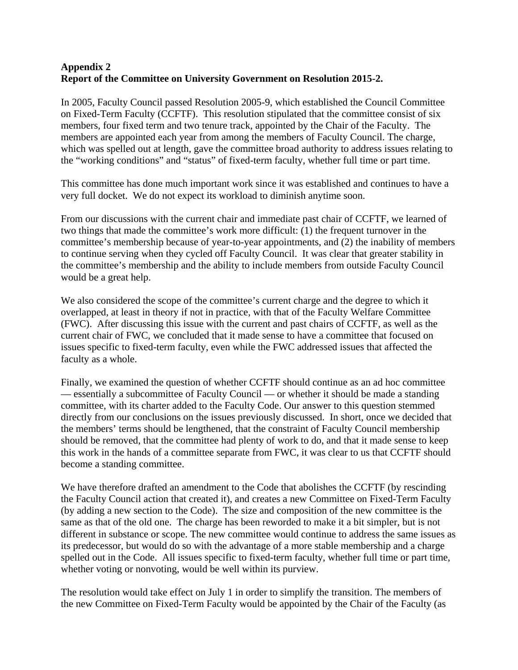# **Appendix 2 Report of the Committee on University Government on Resolution 2015-2.**

In 2005, Faculty Council passed Resolution 2005-9, which established the Council Committee on Fixed-Term Faculty (CCFTF). This resolution stipulated that the committee consist of six members, four fixed term and two tenure track, appointed by the Chair of the Faculty. The members are appointed each year from among the members of Faculty Council. The charge, which was spelled out at length, gave the committee broad authority to address issues relating to the "working conditions" and "status" of fixed-term faculty, whether full time or part time.

This committee has done much important work since it was established and continues to have a very full docket. We do not expect its workload to diminish anytime soon.

From our discussions with the current chair and immediate past chair of CCFTF, we learned of two things that made the committee's work more difficult: (1) the frequent turnover in the committee's membership because of year-to-year appointments, and (2) the inability of members to continue serving when they cycled off Faculty Council. It was clear that greater stability in the committee's membership and the ability to include members from outside Faculty Council would be a great help.

We also considered the scope of the committee's current charge and the degree to which it overlapped, at least in theory if not in practice, with that of the Faculty Welfare Committee (FWC). After discussing this issue with the current and past chairs of CCFTF, as well as the current chair of FWC, we concluded that it made sense to have a committee that focused on issues specific to fixed-term faculty, even while the FWC addressed issues that affected the faculty as a whole.

Finally, we examined the question of whether CCFTF should continue as an ad hoc committee — essentially a subcommittee of Faculty Council — or whether it should be made a standing committee, with its charter added to the Faculty Code. Our answer to this question stemmed directly from our conclusions on the issues previously discussed. In short, once we decided that the members' terms should be lengthened, that the constraint of Faculty Council membership should be removed, that the committee had plenty of work to do, and that it made sense to keep this work in the hands of a committee separate from FWC, it was clear to us that CCFTF should become a standing committee.

We have therefore drafted an amendment to the Code that abolishes the CCFTF (by rescinding the Faculty Council action that created it), and creates a new Committee on Fixed-Term Faculty (by adding a new section to the Code). The size and composition of the new committee is the same as that of the old one. The charge has been reworded to make it a bit simpler, but is not different in substance or scope. The new committee would continue to address the same issues as its predecessor, but would do so with the advantage of a more stable membership and a charge spelled out in the Code. All issues specific to fixed-term faculty, whether full time or part time, whether voting or nonvoting, would be well within its purview.

The resolution would take effect on July 1 in order to simplify the transition. The members of the new Committee on Fixed-Term Faculty would be appointed by the Chair of the Faculty (as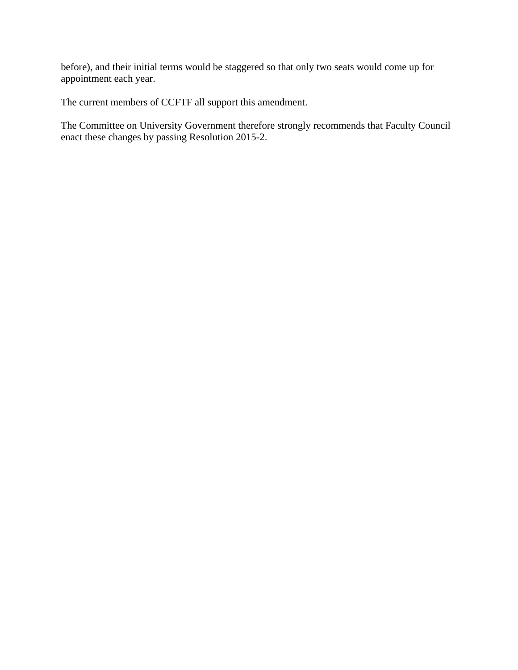before), and their initial terms would be staggered so that only two seats would come up for appointment each year.

The current members of CCFTF all support this amendment.

The Committee on University Government therefore strongly recommends that Faculty Council enact these changes by passing Resolution 2015-2.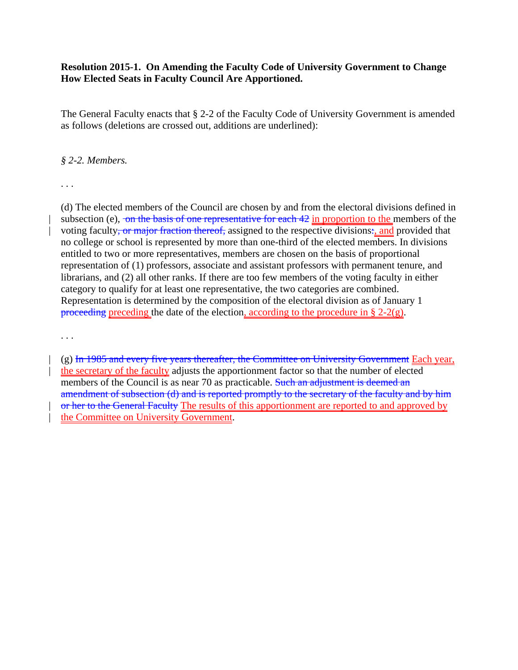### **Resolution 2015-1. On Amending the Faculty Code of University Government to Change How Elected Seats in Faculty Council Are Apportioned.**

The General Faculty enacts that § 2-2 of the Faculty Code of University Government is amended as follows (deletions are crossed out, additions are underlined):

#### *§ 2-2. Members.*

. . .

(d) The elected members of the Council are chosen by and from the electoral divisions defined in subsection (e),  $\overline{\text{on the basis of one representative for each 42 in proportion to the members of the}}$ voting faculty<del>, or major fraction thereof,</del> assigned to the respective divisions:, and provided that no college or school is represented by more than one-third of the elected members. In divisions entitled to two or more representatives, members are chosen on the basis of proportional representation of (1) professors, associate and assistant professors with permanent tenure, and librarians, and (2) all other ranks. If there are too few members of the voting faculty in either category to qualify for at least one representative, the two categories are combined. Representation is determined by the composition of the electoral division as of January 1 proceeding preceding the date of the election, according to the procedure in  $\S 2-2(g)$ .

. . .

 $(g)$  In 1985 and every five years thereafter, the Committee on University Government Each year, the secretary of the faculty adjusts the apportionment factor so that the number of elected members of the Council is as near 70 as practicable. Such an adjustment is deemed an amendment of subsection (d) and is reported promptly to the secretary of the faculty and by him or her to the General Faculty The results of this apportionment are reported to and approved by the Committee on University Government.